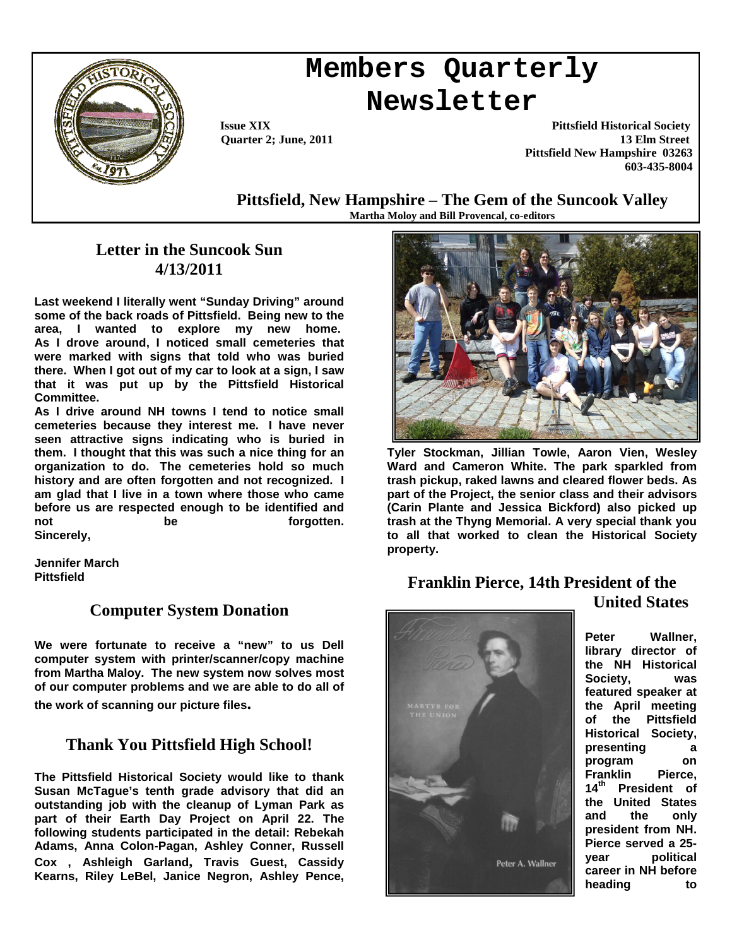

# **Members Quarterly Newsletter**

 **Issue XIX Pittsfield Historical Society Quarter 2; June, 2011** 13 Elm Street  **Pittsfield New Hampshire 03263 603-435-8004**

**Pittsfield, New Hampshire – The Gem of the Suncook Valley Martha Moloy and Bill Provencal, co-editors**

## **Letter in the Suncook Sun 4/13/2011**

**Last weekend I literally went "Sunday Driving" around some of the back roads of Pittsfield. Being new to the area, I wanted to explore my new home. As I drove around, I noticed small cemeteries that were marked with signs that told who was buried there. When I got out of my car to look at a sign, I saw that it was put up by the Pittsfield Historical Committee.** 

**As I drive around NH towns I tend to notice small cemeteries because they interest me. I have never seen attractive signs indicating who is buried in them. I thought that this was such a nice thing for an organization to do. The cemeteries hold so much history and are often forgotten and not recognized. I am glad that I live in a town where those who came before us are respected enough to be identified and not** be **he** forgotten. **Sincerely,** 

**Jennifer March Pittsfield** 

### **Computer System Donation**

**We were fortunate to receive a "new" to us Dell computer system with printer/scanner/copy machine from Martha Maloy. The new system now solves most of our computer problems and we are able to do all of** 

**the work of scanning our picture files.** 

# **Thank You Pittsfield High School!**

**The Pittsfield Historical Society would like to thank Susan McTague's tenth grade advisory that did an outstanding job with the cleanup of Lyman Park as part of their Earth Day Project on April 22. The following students participated in the detail: Rebekah Adams, Anna Colon-Pagan, Ashley Conner, Russell Cox , Ashleigh Garland, Travis Guest, Cassidy Kearns, Riley LeBel, Janice Negron, Ashley Pence,** 



**Tyler Stockman, Jillian Towle, Aaron Vien, Wesley Ward and Cameron White. The park sparkled from trash pickup, raked lawns and cleared flower beds. As part of the Project, the senior class and their advisors (Carin Plante and Jessica Bickford) also picked up trash at the Thyng Memorial. A very special thank you to all that worked to clean the Historical Society property.** 

#### **Franklin Pierce, 14th President of the United States**



**Peter Wallner, library director of the NH Historical Society, was featured speaker at the April meeting of the Pittsfield Historical Society, presenting a program on**  Franklin Pierce,<br>14<sup>th</sup> President of **14th President of the United States and the only president from NH. Pierce served a 25 year political career in NH before heading to**